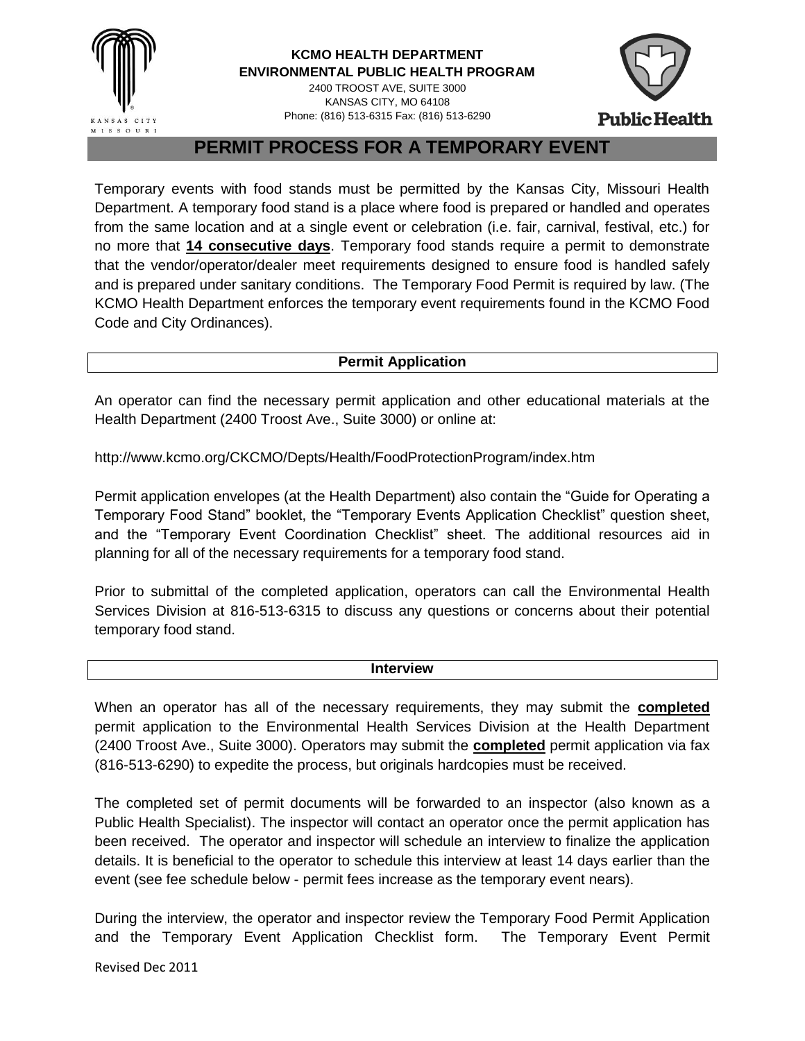

## **KCMO HEALTH DEPARTMENT ENVIRONMENTAL PUBLIC HEALTH PROGRAM**

2400 TROOST AVE, SUITE 3000 KANSAS CITY, MO 64108 Phone: (816) 513-6315 Fax: (816) 513-6290



**Public Health** 

**PERMIT PROCESS FOR A TEMPORARY EVENT**

Temporary events with food stands must be permitted by the Kansas City, Missouri Health Department. A temporary food stand is a place where food is prepared or handled and operates from the same location and at a single event or celebration (i.e. fair, carnival, festival, etc.) for no more that **14 consecutive days**. Temporary food stands require a permit to demonstrate that the vendor/operator/dealer meet requirements designed to ensure food is handled safely and is prepared under sanitary conditions. The Temporary Food Permit is required by law. (The KCMO Health Department enforces the temporary event requirements found in the KCMO Food Code and City Ordinances).

# **Permit Application**

An operator can find the necessary permit application and other educational materials at the Health Department (2400 Troost Ave., Suite 3000) or online at:

http://www.kcmo.org/CKCMO/Depts/Health/FoodProtectionProgram/index.htm

Permit application envelopes (at the Health Department) also contain the "Guide for Operating a Temporary Food Stand" booklet, the "Temporary Events Application Checklist" question sheet, and the "Temporary Event Coordination Checklist" sheet. The additional resources aid in planning for all of the necessary requirements for a temporary food stand.

Prior to submittal of the completed application, operators can call the Environmental Health Services Division at 816-513-6315 to discuss any questions or concerns about their potential temporary food stand.

#### **Interview**

When an operator has all of the necessary requirements, they may submit the **completed** permit application to the Environmental Health Services Division at the Health Department (2400 Troost Ave., Suite 3000). Operators may submit the **completed** permit application via fax (816-513-6290) to expedite the process, but originals hardcopies must be received.

The completed set of permit documents will be forwarded to an inspector (also known as a Public Health Specialist). The inspector will contact an operator once the permit application has been received. The operator and inspector will schedule an interview to finalize the application details. It is beneficial to the operator to schedule this interview at least 14 days earlier than the event (see fee schedule below - permit fees increase as the temporary event nears).

During the interview, the operator and inspector review the Temporary Food Permit Application and the Temporary Event Application Checklist form. The Temporary Event Permit